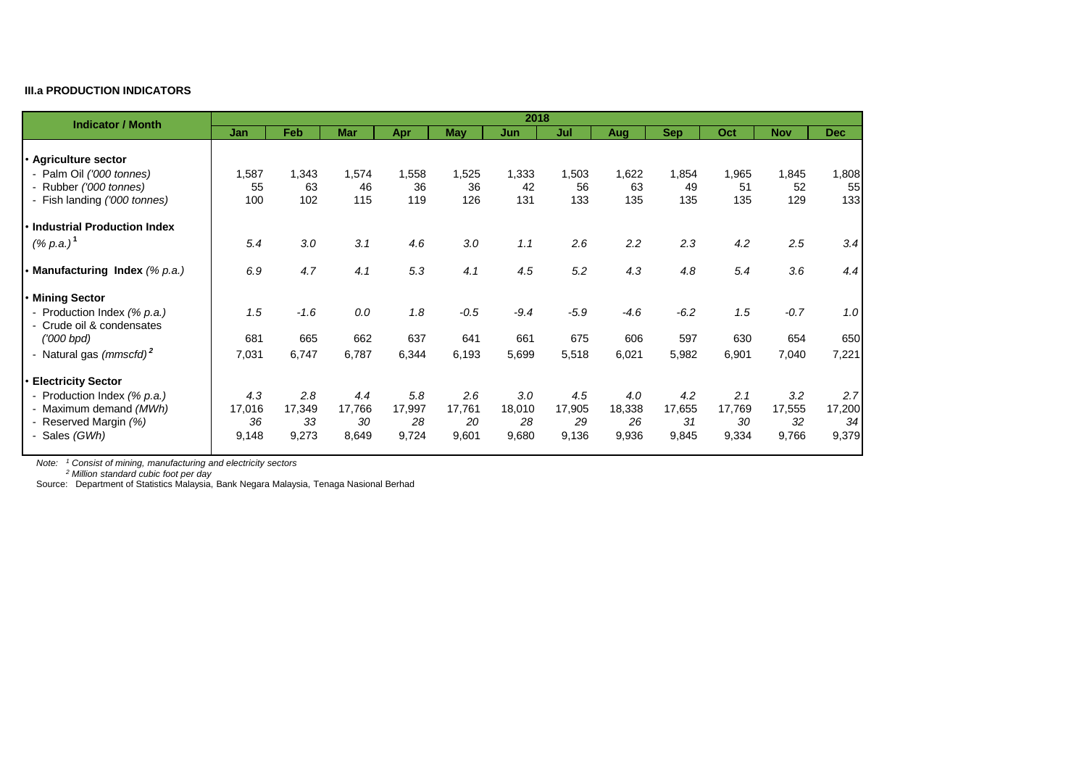## **III.a PRODUCTION INDICATORS**

| <b>Indicator / Month</b>                                 | 2018   |            |            |        |            |        |        |        |            |        |            |            |
|----------------------------------------------------------|--------|------------|------------|--------|------------|--------|--------|--------|------------|--------|------------|------------|
|                                                          | Jan    | <b>Feb</b> | <b>Mar</b> | Apr    | <b>May</b> | Jun    | Jul    | Aug    | <b>Sep</b> | Oct    | <b>Nov</b> | <b>Dec</b> |
|                                                          |        |            |            |        |            |        |        |        |            |        |            |            |
| • Agriculture sector                                     |        |            |            |        |            |        |        |        |            |        |            |            |
| - Palm Oil ('000 tonnes)                                 | 1,587  | 1,343      | 1,574      | 1,558  | 1,525      | 1,333  | 1,503  | 1,622  | 1,854      | 1,965  | 1,845      | 1,808      |
| - Rubber ('000 tonnes)                                   | 55     | 63         | 46         | 36     | 36         | 42     | 56     | 63     | 49         | 51     | 52         | 55         |
| - Fish landing ('000 tonnes)                             | 100    | 102        | 115        | 119    | 126        | 131    | 133    | 135    | 135        | 135    | 129        | 133        |
| · Industrial Production Index                            |        |            |            |        |            |        |        |        |            |        |            |            |
| $(% p.a.)^1$                                             | 5.4    | 3.0        | 3.1        | 4.6    | 3.0        | 1.1    | 2.6    | 2.2    | 2.3        | 4.2    | 2.5        | 3.4        |
| • Manufacturing Index (% p.a.)                           | 6.9    | 4.7        | 4.1        | 5.3    | 4.1        | 4.5    | 5.2    | 4.3    | 4.8        | 5.4    | 3.6        | 4.4        |
| • Mining Sector                                          |        |            |            |        |            |        |        |        |            |        |            |            |
| - Production Index (% p.a.)<br>- Crude oil & condensates | 1.5    | $-1.6$     | 0.0        | 1.8    | $-0.5$     | $-9.4$ | $-5.9$ | $-4.6$ | $-6.2$     | 1.5    | $-0.7$     | 1.0        |
| $(000$ bpd)                                              | 681    | 665        | 662        | 637    | 641        | 661    | 675    | 606    | 597        | 630    | 654        | 650        |
| - Natural gas (mmscfd) <sup>2</sup>                      | 7,031  | 6,747      | 6,787      | 6,344  | 6,193      | 5,699  | 5,518  | 6,021  | 5,982      | 6,901  | 7,040      | 7,221      |
| <b>Electricity Sector</b>                                |        |            |            |        |            |        |        |        |            |        |            |            |
| - Production Index (% p.a.)                              | 4.3    | 2.8        | 4.4        | 5.8    | 2.6        | 3.0    | 4.5    | 4.0    | 4.2        | 2.1    | 3.2        | 2.7        |
| - Maximum demand (MWh)                                   | 17,016 | 17,349     | 17,766     | 17,997 | 17,761     | 18,010 | 17,905 | 18,338 | 17,655     | 17,769 | 17,555     | 17,200     |
| - Reserved Margin (%)                                    | 36     | 33         | 30         | 28     | 20         | 28     | 29     | 26     | 31         | 30     | 32         | 34         |
| - Sales (GWh)                                            | 9,148  | 9,273      | 8,649      | 9,724  | 9,601      | 9,680  | 9,136  | 9,936  | 9,845      | 9,334  | 9,766      | 9,379      |

*Note: <sup>1</sup> Consist of mining, manufacturing and electricity sectors*

*Note: <sup>2</sup> Million standard cubic foot per day*

Source: Department of Statistics Malaysia, Bank Negara Malaysia, Tenaga Nasional Berhad